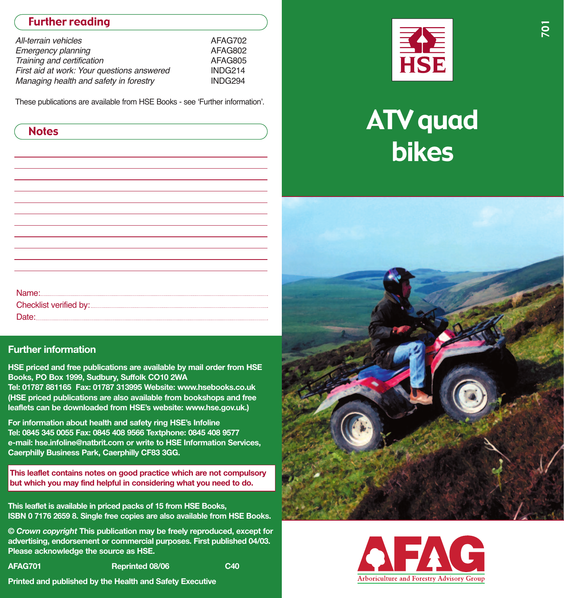# Further reading

| All-terrain vehicles                       | AFAG702 |
|--------------------------------------------|---------|
| <b>Emergency planning</b>                  | AFAG802 |
| Training and certification                 | AFAG805 |
| First aid at work: Your questions answered | INDG214 |
| Managing health and safety in forestry     | INDG294 |

These publications are available from HSE Books - see 'Further information'.

| <b>Notes</b> |  |
|--------------|--|
|--------------|--|

| Checklist verified by: |
|------------------------|
|                        |
|                        |
|                        |

#### **Further information**

**HSE priced and free publications are available by mail order from HSE Books, PO Box 1999, Sudbury, Suffolk CO10 2WA Tel: 01787 881165 Fax: 01787 313995 Website: www.hsebooks.co.uk**

**( HSE priced publications are also available from bookshops and free ) leaflets can be downloaded from HSE's website: www.hse.gov.uk.**

**For information about health and safety ring HSE's Infoline Tel: 0845 345 0055 Fax: 0845 408 9566 Textphone: 0845 408 9577 email: hse.infoline@natbrit.com or write to HSE Information Services, Caerphilly Business Park, Caerphilly CF83 3GG.**

**This leaflet contains notes on good practice which are not compulsory but which you may find helpful in considering what you need to do.**

**il ISBN 0 7176 2659 8. Single free copies are also ava able from HSE Books. This leaflet is available in priced packs of 15 from HSE Books,**

**©** *Crown copyright* **This publication may be freely reproduced, except for advertising, endorsement or commercial purposes. First published 04/03. Please acknowledge the source as HSE.**

**AFAG701 Reprinted 08/06 C40**

**Printed and published by the Health and Safety Executive**



# **ATV** quad bikes



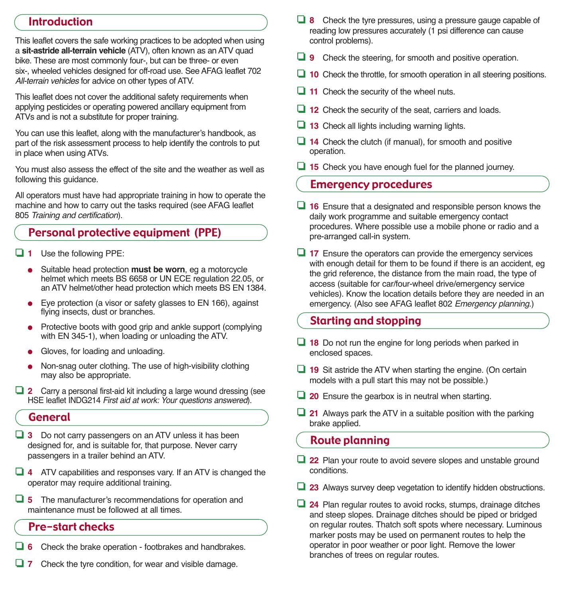## Introduction

This leaflet covers the safe working practices to be adopted when using a **sit-astride all-terrain vehicle** (ATV), often known as an ATV quad bike. These are most commonly four-, but can be three- or even six-, wheeled vehicles designed for off-road use. See AFAG leaflet 702 All-terrain vehicles for advice on other types of ATV.

This leaflet does not cover the additional safety requirements when applying pesticides or operating powered ancillary equipment from ATVs and is not a substitute for proper training.

You can use this leaflet, along with the manufacturer's handbook, as part of the risk assessment process to help identify the controls to put in place when using ATVs.

You must also assess the effect of the site and the weather as well as following this guidance.

All operators must have had appropriate training in how to operate the machine and how to carry out the tasks required (see AFAG leaflet 805 *Training and certification*).

# Personal protective equipment (PPE)

- ❏ **<sup>1</sup>**Use the following PPE:
	- Suitable head protection **must be worn**, eg a motorcycle helmet which meets BS 6658 or UN ECE regulation 22.05, or an ATV helmet/other head protection which meets BS EN 1384.
	- Eye protection (a visor or safety glasses to EN 166), against flying insects, dust or branches.
	- Protective boots with good grip and ankle support (complying with EN 345-1), when loading or unloading the ATV.
	- Gloves, for loading and unloading.
	- Non-snag outer clothing. The use of high-visibility clothing may also be appropriate.
- ❏ **<sup>2</sup>**Carry a personal first-aid kit including a large wound dressing (see HSE leaflet INDG214 *First aid at work: Your questions answered*).

## General

- ❏ **<sup>3</sup>**Do not carry passengers on an ATV unless it has been designed for, and is suitable for, that purpose. Never carry passengers in a trailer behind an ATV.
- ❏ **<sup>4</sup>**ATV capabilities and responses vary. If an ATV is changed the operator may require additional training.
- ❏ **<sup>5</sup>**The manufacturer's recommendations for operation and maintenance must be followed at all times.

#### **Pre-start checks**

- ❏ **<sup>6</sup>**Check the brake operation footbrakes and handbrakes.
- ❏ **<sup>7</sup>**Check the tyre condition, for wear and visible damage.
- ❏ **<sup>8</sup>**Check the tyre pressures, using a pressure gauge capable of reading low pressures accurately (1 psi difference can cause control problems).
- ❏ **<sup>9</sup>**Check the steering, for smooth and positive operation.
- ❏ **<sup>10</sup>**Check the throttle, for smooth operation in all steering positions.
- ❏ **<sup>11</sup>**Check the security of the wheel nuts.
- ❏ **<sup>12</sup>**Check the security of the seat, carriers and loads.
- ❏ **<sup>13</sup>**Check all lights including warning lights.
- ❏ **<sup>14</sup>**Check the clutch (if manual), for smooth and positive operation.
- ❏ **<sup>15</sup>**Check you have enough fuel for the planned journey.

#### Emergency procedures

- ❏ **<sup>16</sup>**Ensure that a designated and responsible person knows the daily work programme and suitable emergency contact procedures. Where possible use a mobile phone or radio and a pre-arranged call-in system.
- ❏ **<sup>17</sup>**Ensure the operators can provide the emergency services with enough detail for them to be found if there is an accident, eg the grid reference, the distance from the main road, the type of access (suitable for car/four-wheel drive/emergency service vehicles). Know the location details before they are needed in an emergency. (Also see AFAG leaflet 802 *Emergency planning*.)

## Starting and stopping

- ❏ **<sup>18</sup>**Do not run the engine for long periods when parked in enclosed spaces.
- ❏ **<sup>19</sup>**Sit astride the ATV when starting the engine. (On certain models with a pull start this may not be possible.)
- ❏ **<sup>20</sup>**Ensure the gearbox is in neutral when starting.
- ❏ **<sup>21</sup>**Always park the ATV in a suitable position with the parking brake applied.

# Route planning

- ❏ **<sup>22</sup>**Plan your route to avoid severe slopes and unstable ground conditions.
- ❏ **<sup>23</sup>**Always survey deep vegetation to identify hidden obstructions.
- ❏ **<sup>24</sup>**Plan regular routes to avoid rocks, stumps, drainage ditches and steep slopes. Drainage ditches should be piped or bridged on regular routes. Thatch soft spots where necessary. Luminous marker posts may be used on permanent routes to help the operator in poor weather or poor light. Remove the lower branches of trees on regular routes.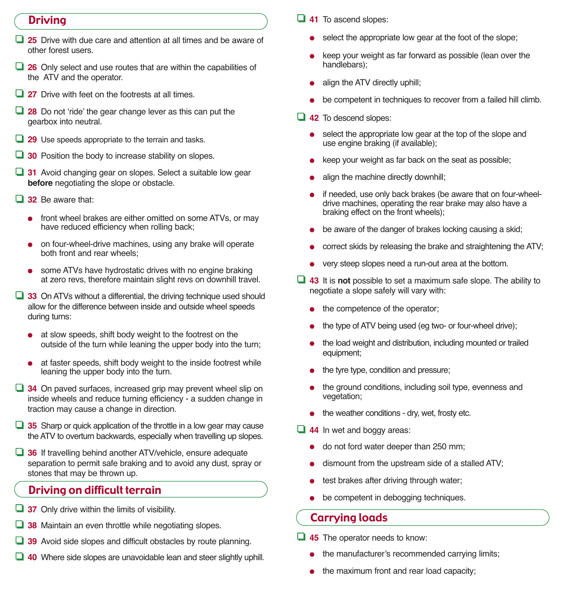# **Driving**

- ❏ **<sup>25</sup>**Drive with due care and attention at all times and be aware of other forest users.
- ❏ **<sup>26</sup>**Only select and use routes that are within the capabilities of the ATV and the operator.
- ❏ **<sup>27</sup>**Drive with feet on the footrests at all times.
- ❏ **<sup>28</sup>**Do not ʻride' the gear change lever as this can put the gearbox into neutral.
- ❏ **<sup>29</sup>**Use speeds appropriate to the terrain and tasks.
- ❏ **<sup>30</sup>**Position the body to increase stability on slopes.
- ❏ **<sup>31</sup>**Avoid changing gear on slopes. Select a suitable low gear **before** negotiating the slope or obstacle.
- ❏ **<sup>32</sup>**Be aware that:
	- front wheel brakes are either omitted on some ATVs, or may have reduced efficiency when rolling back;
	- on four-wheel-drive machines, using any brake will operate both front and rear wheels;
	- some ATVs have hydrostatic drives with no engine braking at zero revs, therefore maintain slight revs on downhill travel.
- ❏ **<sup>33</sup>**On ATVs without a differential, the driving technique used should allow for the difference between inside and outside wheel speeds during turns:
	- at slow speeds, shift body weight to the footrest on the outside of the turn while leaning the upper body into the turn;
	- at faster speeds, shift body weight to the inside footrest while leaning the upper body into the turn.
- ❏ **<sup>34</sup>**On paved surfaces, increased grip may prevent wheel slip on inside wheels and reduce turning efficiency - a sudden change in traction may cause a change in direction.
- ❏ **<sup>35</sup>**Sharp or quick application of the throttle in a low gear may cause the ATV to overturn backwards, especially when travelling up slopes.
- ❏ **<sup>36</sup>**If travelling behind another ATV/vehicle, ensure adequate separation to permit safe braking and to avoid any dust, spray or stones that may be thrown up.

#### Driving on difficult terrain

- ❏ **<sup>37</sup>**Only drive within the limits of visibility.
- ❏ **<sup>38</sup>**Maintain an even throttle while negotiating slopes.
- ❏ **<sup>39</sup>**Avoid side slopes and difficult obstacles by route planning.
- ❏ **<sup>40</sup>**Where side slopes are unavoidable lean and steer slightly uphill.
- ❏ **<sup>41</sup>**To ascend slopes:
	- select the appropriate low gear at the foot of the slope;
	- keep your weight as far forward as possible (lean over the handlebars);
	- align the ATV directly uphill;
	- be competent in techniques to recover from a failed hill climb.
- ❏ **<sup>42</sup>**To descend slopes:
	- select the appropriate low gear at the top of the slope and use engine braking (if available);
	- keep your weight as far back on the seat as possible;
	- align the machine directly downhill;
	- if needed, use only back brakes (be aware that on four-wheeldrive machines, operating the rear brake may also have a braking effect on the front wheels);
	- be aware of the danger of brakes locking causing a skid;
	- correct skids by releasing the brake and straightening the ATV;
	- very steep slopes need a run-out area at the bottom.
- ❏ **<sup>43</sup>**It is **not** possible to set a maximum safe slope. The ability to negotiate a slope safely will vary with:
	- the competence of the operator:
	- the type of ATV being used (eg two- or four-wheel drive);
	- the load weight and distribution, including mounted or trailed equipment;
	- the tyre type, condition and pressure;
	- the ground conditions, including soil type, evenness and vegetation;
	- the weather conditions dry, wet, frosty etc.
- ❏ **<sup>44</sup>**In wet and boggy areas:
	- do not ford water deeper than 250 mm;
	- dismount from the upstream side of a stalled ATV;
	- test brakes after driving through water;
	- be competent in debogging techniques.

#### Carrying loads

- ❏ **<sup>45</sup>**The operator needs to know:
	- the manufacturer's recommended carrying limits;
	- the maximum front and rear load capacity;